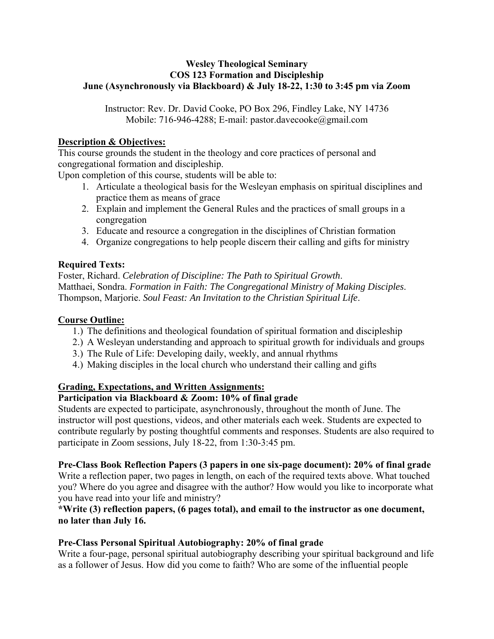### **Wesley Theological Seminary COS 123 Formation and Discipleship June (Asynchronously via Blackboard) & July 18-22, 1:30 to 3:45 pm via Zoom**

Instructor: Rev. Dr. David Cooke, PO Box 296, Findley Lake, NY 14736 Mobile: 716-946-4288; E-mail: pastor.davecooke@gmail.com

## **Description & Objectives:**

This course grounds the student in the theology and core practices of personal and congregational formation and discipleship.

Upon completion of this course, students will be able to:

- 1. Articulate a theological basis for the Wesleyan emphasis on spiritual disciplines and practice them as means of grace
- 2. Explain and implement the General Rules and the practices of small groups in a congregation
- 3. Educate and resource a congregation in the disciplines of Christian formation
- 4. Organize congregations to help people discern their calling and gifts for ministry

### **Required Texts:**

Foster, Richard. *Celebration of Discipline: The Path to Spiritual Growth*. Matthaei, Sondra. *Formation in Faith: The Congregational Ministry of Making Disciples*. Thompson, Marjorie. *Soul Feast: An Invitation to the Christian Spiritual Life*.

### **Course Outline:**

- 1.) The definitions and theological foundation of spiritual formation and discipleship
- 2.) A Wesleyan understanding and approach to spiritual growth for individuals and groups
- 3.) The Rule of Life: Developing daily, weekly, and annual rhythms
- 4.) Making disciples in the local church who understand their calling and gifts

# **Grading, Expectations, and Written Assignments:**

# **Participation via Blackboard & Zoom: 10% of final grade**

Students are expected to participate, asynchronously, throughout the month of June. The instructor will post questions, videos, and other materials each week. Students are expected to contribute regularly by posting thoughtful comments and responses. Students are also required to participate in Zoom sessions, July 18-22, from 1:30-3:45 pm.

#### **Pre-Class Book Reflection Papers (3 papers in one six-page document): 20% of final grade**

Write a reflection paper, two pages in length, on each of the required texts above. What touched you? Where do you agree and disagree with the author? How would you like to incorporate what you have read into your life and ministry?

# **\*Write (3) reflection papers, (6 pages total), and email to the instructor as one document, no later than July 16.**

# **Pre-Class Personal Spiritual Autobiography: 20% of final grade**

Write a four-page, personal spiritual autobiography describing your spiritual background and life as a follower of Jesus. How did you come to faith? Who are some of the influential people